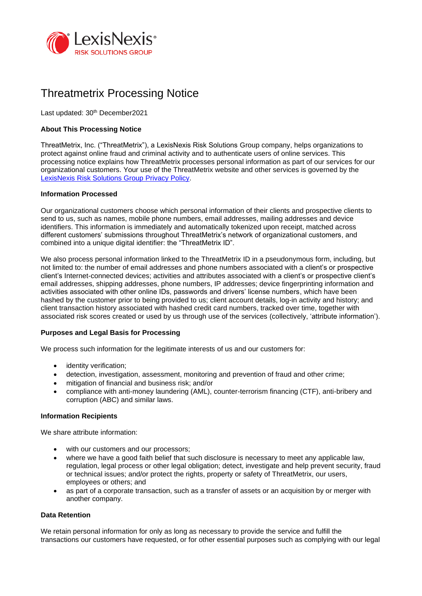

# Threatmetrix Processing Notice

Last updated: 30<sup>th</sup> December2021

# **About This Processing Notice**

ThreatMetrix, Inc. ("ThreatMetrix"), a LexisNexis Risk Solutions Group company, helps organizations to protect against online fraud and criminal activity and to authenticate users of online services. This processing notice explains how ThreatMetrix processes personal information as part of our services for our organizational customers. Your use of the ThreatMetrix website and other services is governed by the [LexisNexis Risk Solutions Group Privacy Policy.](https://risk.lexisnexis.com/group/privacy-policy)

# **Information Processed**

Our organizational customers choose which personal information of their clients and prospective clients to send to us, such as names, mobile phone numbers, email addresses, mailing addresses and device identifiers. This information is immediately and automatically tokenized upon receipt, matched across different customers' submissions throughout ThreatMetrix's network of organizational customers, and combined into a unique digital identifier: the "ThreatMetrix ID".

We also process personal information linked to the ThreatMetrix ID in a pseudonymous form, including, but not limited to: the number of email addresses and phone numbers associated with a client's or prospective client's Internet-connected devices; activities and attributes associated with a client's or prospective client's email addresses, shipping addresses, phone numbers, IP addresses; device fingerprinting information and activities associated with other online IDs, passwords and drivers' license numbers, which have been hashed by the customer prior to being provided to us; client account details, log-in activity and history; and client transaction history associated with hashed credit card numbers, tracked over time, together with associated risk scores created or used by us through use of the services (collectively, 'attribute information').

# **Purposes and Legal Basis for Processing**

We process such information for the legitimate interests of us and our customers for:

- identity verification;
- detection, investigation, assessment, monitoring and prevention of fraud and other crime;
- mitigation of financial and business risk; and/or
- compliance with anti-money laundering (AML), counter-terrorism financing (CTF), anti-bribery and corruption (ABC) and similar laws.

#### **Information Recipients**

We share attribute information:

- with our customers and our processors;
- where we have a good faith belief that such disclosure is necessary to meet any applicable law, regulation, legal process or other legal obligation; detect, investigate and help prevent security, fraud or technical issues; and/or protect the rights, property or safety of ThreatMetrix, our users, employees or others; and
- as part of a corporate transaction, such as a transfer of assets or an acquisition by or merger with another company.

### **Data Retention**

We retain personal information for only as long as necessary to provide the service and fulfill the transactions our customers have requested, or for other essential purposes such as complying with our legal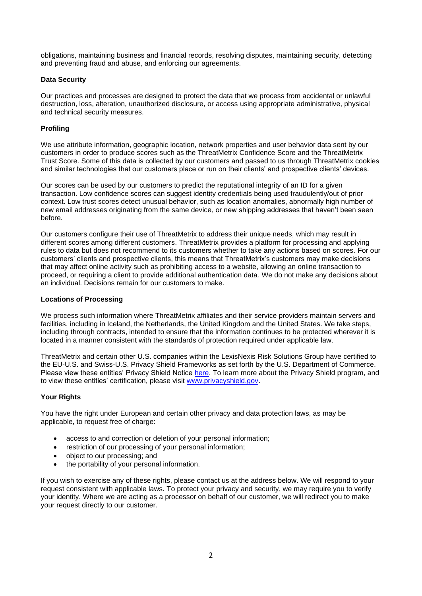obligations, maintaining business and financial records, resolving disputes, maintaining security, detecting and preventing fraud and abuse, and enforcing our agreements.

# **Data Security**

Our practices and processes are designed to protect the data that we process from accidental or unlawful destruction, loss, alteration, unauthorized disclosure, or access using appropriate administrative, physical and technical security measures.

# **Profiling**

We use attribute information, geographic location, network properties and user behavior data sent by our customers in order to produce scores such as the ThreatMetrix Confidence Score and the ThreatMetrix Trust Score. Some of this data is collected by our customers and passed to us through ThreatMetrix cookies and similar technologies that our customers place or run on their clients' and prospective clients' devices.

Our scores can be used by our customers to predict the reputational integrity of an ID for a given transaction. Low confidence scores can suggest identity credentials being used fraudulently/out of prior context. Low trust scores detect unusual behavior, such as location anomalies, abnormally high number of new email addresses originating from the same device, or new shipping addresses that haven't been seen before.

Our customers configure their use of ThreatMetrix to address their unique needs, which may result in different scores among different customers. ThreatMetrix provides a platform for processing and applying rules to data but does not recommend to its customers whether to take any actions based on scores. For our customers' clients and prospective clients, this means that ThreatMetrix's customers may make decisions that may affect online activity such as prohibiting access to a website, allowing an online transaction to proceed, or requiring a client to provide additional authentication data. We do not make any decisions about an individual. Decisions remain for our customers to make.

### **Locations of Processing**

We process such information where ThreatMetrix affiliates and their service providers maintain servers and facilities, including in Iceland, the Netherlands, the United Kingdom and the United States. We take steps, including through contracts, intended to ensure that the information continues to be protected wherever it is located in a manner consistent with the standards of protection required under applicable law.

ThreatMetrix and certain other U.S. companies within the LexisNexis Risk Solutions Group have certified to the EU-U.S. and Swiss-U.S. Privacy Shield Frameworks as set forth by the U.S. Department of Commerce. Please view these entities' Privacy Shield Notice [here.](http://www.relx.com/documents/policies/privacy-shield.pdf) To learn more about the Privacy Shield program, and to view these entities' certification, please visit [www.privacyshield.gov.](http://www.privacyshield.gov/)

# **Your Rights**

You have the right under European and certain other privacy and data protection laws, as may be applicable, to request free of charge:

- access to and correction or deletion of your personal information;
- restriction of our processing of your personal information;
- object to our processing; and
- the portability of your personal information.

If you wish to exercise any of these rights, please contact us at the address below. We will respond to your request consistent with applicable laws. To protect your privacy and security, we may require you to verify your identity. Where we are acting as a processor on behalf of our customer, we will redirect you to make your request directly to our customer.